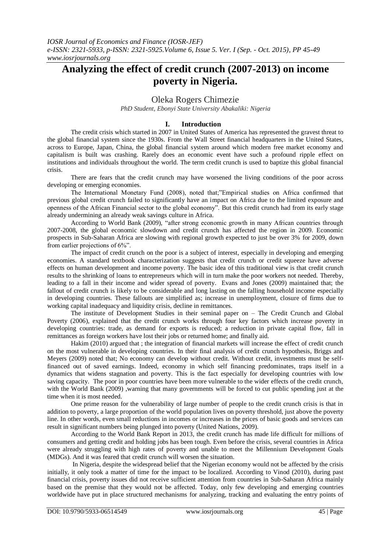# **Analyzing the effect of credit crunch (2007-2013) on income poverty in Nigeria.**

## Oleka Rogers Chimezie

*PhD Student, Ebonyi State University Abakaliki: Nigeria*

#### **I. Introduction**

The credit crisis which started in 2007 in United States of America has represented the gravest threat to the global financial system since the 1930s. From the Wall Street financial headquarters in the United States, across to Europe, Japan, China, the global financial system around which modern free market economy and capitalism is built was crashing. Rarely does an economic event have such a profound ripple effect on institutions and individuals throughout the world. The term credit crunch is used to baptize this global financial crisis.

There are fears that the credit crunch may have worsened the living conditions of the poor across developing or emerging economies.

The International Monetary Fund (2008), noted that;"Empirical studies on Africa confirmed that previous global credit crunch failed to significantly have an impact on Africa due to the limited exposure and openness of the African Financial sector to the global economy". But this credit crunch had from its early stage already undermining an already weak savings culture in Africa.

According to World Bank (2009), "after strong economic growth in many African countries through 2007-2008, the global economic slowdown and credit crunch has affected the region in 2009. Economic prospects in Sub-Saharan Africa are slowing with regional growth expected to just be over 3% for 2009, down from earlier projections of 6%".

The impact of credit crunch on the poor is a subject of interest, especially in developing and emerging economies. A standard textbook characterization suggests that credit crunch or credit squeeze have adverse effects on human development and income poverty. The basic idea of this traditional view is that credit crunch results to the shrinking of loans to entrepreneurs which will in turn make the poor workers not needed. Thereby, leading to a fall in their income and wider spread of poverty. Evans and Jones (2009) maintained that; the fallout of credit crunch is likely to be considerable and long lasting on the falling household income especially in developing countries. These fallouts are simplified as; increase in unemployment, closure of firms due to working capital inadequacy and liquidity crisis, decline in remittances.

The institute of Development Studies in their seminal paper on – The Credit Crunch and Global Poverty (2006), explained that the credit crunch works through four key factors which increase poverty in developing countries: trade, as demand for exports is reduced; a reduction in private capital flow, fall in remittances as foreign workers have lost their jobs or returned home; and finally aid.

Hakim (2010) argued that ; the integration of financial markets will increase the effect of credit crunch on the most vulnerable in developing countries. In their final analysis of credit crunch hypothesis, Briggs and Meyers (2009) noted that; No economy can develop without credit. Without credit, investments must be selffinanced out of saved earnings. Indeed, economy in which self financing predominates, traps itself in a dynamics that widens stagnation and poverty. This is the fact especially for developing countries with low saving capacity. The poor in poor countries have been more vulnerable to the wider effects of the credit crunch, with the World Bank (2009), warning that many governments will be forced to cut public spending just at the time when it is most needed.

One prime reason for the vulnerability of large number of people to the credit crunch crisis is that in addition to poverty, a large proportion of the world population lives on poverty threshold, just above the poverty line. In other words, even small reductions in incomes or increases in the prices of basic goods and services can result in significant numbers being plunged into poverty (United Nations, 2009).

According to the World Bank Report in 2013, the credit crunch has made life difficult for millions of consumers and getting credit and holding jobs has been tough. Even before the crisis, several countries in Africa were already struggling with high rates of poverty and unable to meet the Millennium Development Goals (MDGs). And it was feared that credit crunch will worsen the situation.

In Nigeria, despite the widespread belief that the Nigerian economy would not be affected by the crisis initially, it only took a matter of time for the impact to be localized. According to Vinod (2010), during past financial crisis, poverty issues did not receive sufficient attention from countries in Sub-Saharan Africa mainly based on the premise that they would not be affected. Today, only few developing and emerging countries worldwide have put in place structured mechanisms for analyzing, tracking and evaluating the entry points of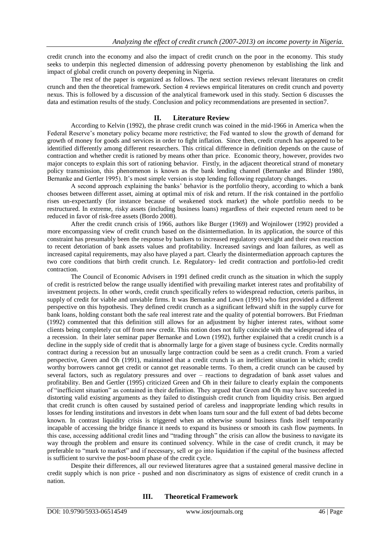credit crunch into the economy and also the impact of credit crunch on the poor in the economy. This study seeks to underpin this neglected dimension of addressing poverty phenomenon by establishing the link and impact of global credit crunch on poverty deepening in Nigeria.

The rest of the paper is organized as follows. The next section reviews relevant literatures on credit crunch and then the theoretical framework. Section 4 reviews empirical literatures on credit crunch and poverty nexus. This is followed by a discussion of the analytical framework used in this study. Section 6 discusses the data and estimation results of the study. Conclusion and policy recommendations are presented in section7.

#### **II. Literature Review**

According to Kelvin (1992), the phrase credit crunch was coined in the mid-1966 in America when the Federal Reserve's monetary policy became more restrictive; the Fed wanted to slow the growth of demand for growth of money for goods and services in order to fight inflation. Since then, credit crunch has appeared to be identified differently among different researchers. This critical difference in definition depends on the cause of contraction and whether credit is rationed by means other than price. Economic theory, however, provides two major concepts to explain this sort of rationing behavior. Firstly, in the adjacent theoretical strand of monetary policy transmission, this phenomenon is known as the bank lending channel (Bernanke and Blinder 1980, Bernanke and Gertler 1995). It's most simple version is stop lending following regulatory changes.

A second approach explaining the banks' behavior is the portfolio theory, according to which a bank chooses between different asset, aiming at optimal mix of risk and return. If the risk contained in the portfolio rises un-expectantly (for instance because of weakened stock market) the whole portfolio needs to be restructured. In extreme, risky assets (including business loans) regardless of their expected return need to be reduced in favor of risk-free assets (Bordo 2008).

After the credit crunch crisis of 1966, authors like Burger (1969) and Wojnilower (1992) provided a more encompassing view of credit crunch based on the disintermediation. In its application, the source of this constraint has presumably been the response by bankers to increased regulatory oversight and their own reaction to recent detoriation of bank assets values and profitability. Increased savings and loan failures, as well as increased capital requirements, may also have played a part. Clearly the disintermediation approach captures the two core conditions that birth credit crunch. I.e. Regulatory- led credit contraction and portfolio-led credit contraction.

The Council of Economic Advisers in 1991 defined credit crunch as the situation in which the supply of credit is restricted below the range usually identified with prevailing market interest rates and profitability of investment projects. In other words, credit crunch specifically refers to widespread reduction, ceteris paribus, in supply of credit for viable and unviable firms. It was Bernanke and Lown (1991) who first provided a different perspective on this hypothesis. They defined credit crunch as a significant leftward shift in the supply curve for bank loans, holding constant both the safe real interest rate and the quality of potential borrowers. But Friedman (1992) commented that this definition still allows for an adjustment by higher interest rates, without some clients being completely cut off from new credit. This notion does not fully coincide with the widespread idea of a recession. In their later seminar paper Bernanke and Lown (1992), further explained that a credit crunch is a decline in the supply side of credit that is abnormally large for a given stage of business cycle. Credits normally contract during a recession but an unusually large contraction could be seen as a credit crunch. From a varied perspective, Green and Oh (1991), maintained that a credit crunch is an inefficient situation in which; credit worthy borrowers cannot get credit or cannot get reasonable terms. To them, a credit crunch can be caused by several factors, such as regulatory pressures and over – reactions to degradation of bank asset values and profitability. Ben and Gertler (1995) criticized Green and Oh in their failure to clearly explain the components of "inefficient situation" as contained in their definition. They argued that Green and Oh may have succeeded in distorting valid existing arguments as they failed to distinguish credit crunch from liquidity crisis. Ben argued that credit crunch is often caused by sustained period of careless and inappropriate lending which results in losses for lending institutions and investors in debt when loans turn sour and the full extent of bad debts become known. In contrast liquidity crisis is triggered when an otherwise sound business finds itself temporarily incapable of accessing the bridge finance it needs to expand its business or smooth its cash flow payments. In this case, accessing additional credit lines and "trading through" the crisis can allow the business to navigate its way through the problem and ensure its continued solvency. While in the case of credit crunch, it may be preferable to "mark to market" and if necessary, sell or go into liquidation if the capital of the business affected is sufficient to survive the post-boom phase of the credit cycle.

Despite their differences, all our reviewed literatures agree that a sustained general massive decline in credit supply which is non price - pushed and non discriminatory as signs of existence of credit crunch in a nation.

### **III. Theoretical Framework**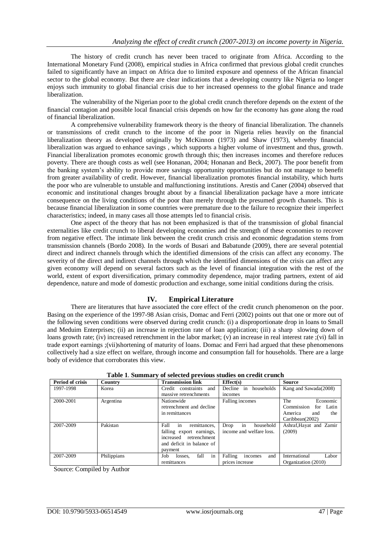The history of credit crunch has never been traced to originate from Africa. According to the International Monetary Fund (2008), empirical studies in Africa confirmed that previous global credit crunches failed to significantly have an impact on Africa due to limited exposure and openness of the African financial sector to the global economy. But there are clear indications that a developing country like Nigeria no longer enjoys such immunity to global financial crisis due to her increased openness to the global finance and trade liberalization.

The vulnerability of the Nigerian poor to the global credit crunch therefore depends on the extent of the financial contagion and possible local financial crisis depends on how far the economy has gone along the road of financial liberalization.

A comprehensive vulnerability framework theory is the theory of financial liberalization. The channels or transmissions of credit crunch to the income of the poor in Nigeria relies heavily on the financial liberalization theory as developed originally by McKinnon (1973) and Shaw (1973), whereby financial liberalization was argued to enhance savings , which supports a higher volume of investment and thus, growth. Financial liberalization promotes economic growth through this; then increases incomes and therefore reduces poverty. There are though costs as well (see Honanan, 2004; Honanan and Beck, 2007). The poor benefit from the banking system's ability to provide more savings opportunity opportunities but do not manage to benefit from greater availability of credit. However, financial liberalization promotes financial instability, which hurts the poor who are vulnerable to unstable and malfunctioning institutions. Arestis and Caner (2004) observed that economic and institutional changes brought about by a financial liberalization package have a more intricate consequence on the living conditions of the poor than merely through the presumed growth channels. This is because financial liberalization in some countries were premature due to the failure to recognize their imperfect characteristics; indeed, in many cases all those attempts led to financial crisis.

One aspect of the theory that has not been emphasized is that of the transmission of global financial externalities like credit crunch to liberal developing economies and the strength of these economies to recover from negative effect. The intimate link between the credit crunch crisis and economic degradation stems from transmission channels (Bordo 2008). In the words of Busari and Babatunde (2009), there are several potential direct and indirect channels through which the identified dimensions of the crisis can affect any economy. The severity of the direct and indirect channels through which the identified dimensions of the crisis can affect any given economy will depend on several factors such as the level of financial integration with the rest of the world, extent of export diversification, primary commodity dependence, major trading partners, extent of aid dependence, nature and mode of domestic production and exchange, some initial conditions during the crisis.

### **IV. Empirical Literature**

There are literatures that have associated the core effect of the credit crunch phenomenon on the poor. Basing on the experience of the 1997-98 Asian crisis, Domac and Ferri (2002) points out that one or more out of the following seven conditions were observed during credit crunch: (i) a disproportionate drop in loans to Small and Meduim Enterprises; (ii) an increase in rejection rate of loan application; (iii) a sharp slowing down of loans growth rate; (iv) increased retrenchment in the labor market; (v) an increase in real interest rate ;(vi) fall in trade export earnings ;(vii)shortening of maturity of loans. Domac and Ferri had argued that these phenomenons collectively had a size effect on welfare, through income and consumption fall for households. There are a large body of evidence that corroborates this view.

| Period of crisis | Country     | <b>Transmission link</b>                                  | Effect(s)                 | Source                     |  |  |  |
|------------------|-------------|-----------------------------------------------------------|---------------------------|----------------------------|--|--|--|
| 1997-1998        | Korea       | and<br>Credit constraints                                 | Decline in<br>households  | Kang and Sawada(2008)      |  |  |  |
|                  |             | massive retrenchments                                     | incomes                   |                            |  |  |  |
| 2000-2001        | Argentina   | Nationwide<br>Falling incomes<br>retrenchment and decline |                           | The<br>Economic            |  |  |  |
|                  |             |                                                           |                           | Commission<br>Latin<br>for |  |  |  |
|                  |             | in remittances                                            |                           | America<br>the<br>and      |  |  |  |
|                  |             |                                                           |                           | Caribbean(2002)            |  |  |  |
| 2007-2009        | Pakistan    | in<br>Fall<br>remittances,                                | in<br>Drop<br>household   | Ashraf, Hayat and Zamir    |  |  |  |
|                  |             | falling export earnings,                                  | income and welfare loss.  | (2009)                     |  |  |  |
|                  |             | increased retrenchment                                    |                           |                            |  |  |  |
|                  |             | and deficit in balance of                                 |                           |                            |  |  |  |
|                  |             | payment                                                   |                           |                            |  |  |  |
| 2007-2009        | Philippians | in<br>fall<br>Job<br>losses.                              | Falling<br>incomes<br>and | International<br>Labor     |  |  |  |
|                  |             | remittances                                               | prices increase           | Organization (2010)        |  |  |  |

**Table 1**. **Summary of selected previous studies on credit crunch**

Source: Compiled by Author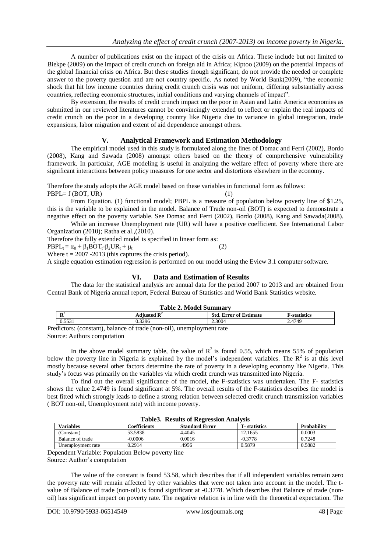A number of publications exist on the impact of the crisis on Africa. These include but not limited to Biekpe (2009) on the impact of credit crunch on foreign aid in Africa; Kiptoo (2009) on the potential impacts of the global financial crisis on Africa. But these studies though significant, do not provide the needed or complete answer to the poverty question and are not country specific. As noted by World Bank(2009), "the economic shock that hit low income countries during credit crunch crisis was not uniform, differing substantially across countries, reflecting economic structures, initial conditions and varying channels of impact".

By extension, the results of credit crunch impact on the poor in Asian and Latin America economies as submitted in our reviewed literatures cannot be convincingly extended to reflect or explain the real impacts of credit crunch on the poor in a developing country like Nigeria due to variance in global integration, trade expansions, labor migration and extent of aid dependence amongst others.

### **V. Analytical Framework and Estimation Methodology**

The empirical model used in this study is formulated along the lines of Domac and Ferri (2002), Bordo (2008), Kang and Sawada (2008) amongst others based on the theory of comprehensive vulnerability framework. In particular, AGE modeling is useful in analyzing the welfare effect of poverty where there are significant interactions between policy measures for one sector and distortions elsewhere in the economy.

Therefore the study adopts the AGE model based on these variables in functional form as follows:

 $PBPL = f (BOT, UR)$  (1)

From Equation. (1) functional model; PBPL is a measure of population below poverty line of \$1.25, this is the variable to be explained in the model. Balance of Trade non-oil (BOT) is expected to demonstrate a negative effect on the poverty variable. See Domac and Ferri (2002), Bordo (2008), Kang and Sawada(2008).

While an increase Unemployment rate (UR) will have a positive coefficient. See International Labor Organization (2010); Ratha et al.,(2010).

Therefore the fully extended model is specified in linear form as:

 $\text{PBPL}_t = \alpha_0 + \beta_1 \text{BOT}_t - \beta_2 \text{UR}_t + \mu_t$  (2)

Where  $t = 2007 - 2013$  (this captures the crisis period).

A single equation estimation regression is performed on our model using the Eview 3.1 computer software.

## **VI. Data and Estimation of Results**

The data for the statistical analysis are annual data for the period 2007 to 2013 and are obtained from Central Bank of Nigeria annual report, Federal Bureau of Statistics and World Bank Statistics website.

| <b>Table 2. Model Summary</b> |                         |                               |                     |  |  |  |  |
|-------------------------------|-------------------------|-------------------------------|---------------------|--|--|--|--|
| л                             | Adjusted $\mathbb{R}^2$ | <b>Std. Error of Estimate</b> | <b>F-statistics</b> |  |  |  |  |
| 0.5531                        | 0.3296                  | 2.3004                        | 2.4749              |  |  |  |  |
| $\cdots$                      | $\cdot$ 1 $\vee$        |                               |                     |  |  |  |  |

Predictors: (constant), balance of trade (non-oil), unemployment rate Source: Authors computation

In the above model summary table, the value of  $R^2$  is found 0.55, which means 55% of population below the poverty line in Nigeria is explained by the model's independent variables. The  $R^2$  is at this level mostly because several other factors determine the rate of poverty in a developing economy like Nigeria. This study's focus was primarily on the variables via which credit crunch was transmitted into Nigeria.

To find out the overall significance of the model, the F-statistics was undertaken. The F- statistics shows the value 2.4749 is found significant at 5%. The overall results of the F-statistics describes the model is best fitted which strongly leads to define a strong relation between selected credit crunch transmission variables ( BOT non-oil, Unemployment rate) with income poverty.

| <b>Table3. Results of Regression Analysis</b> |              |                       |                      |                    |  |  |  |
|-----------------------------------------------|--------------|-----------------------|----------------------|--------------------|--|--|--|
| <b>Variables</b>                              | Coefficients | <b>Standard Error</b> | <b>T</b> -statistics | <b>Probability</b> |  |  |  |
| (Constant)                                    | 53.5838      | 4.4045                | 12.1655              | 0.0003             |  |  |  |
| Balance of trade                              | $-0.0006$    | 0.0016                | $-0.3778$            | 0.7248             |  |  |  |
| Unemployment rate                             | 0.2914       | .4956                 | 0.5879               | 0.5882             |  |  |  |

Dependent Variable: Population Below poverty line Source: Author's computation

The value of the constant is found 53.58, which describes that if all independent variables remain zero the poverty rate will remain affected by other variables that were not taken into account in the model. The tvalue of Balance of trade (non-oil) is found significant at -0.3778. Which describes that Balance of trade (nonoil) has significant impact on poverty rate. The negative relation is in line with the theoretical expectation. The